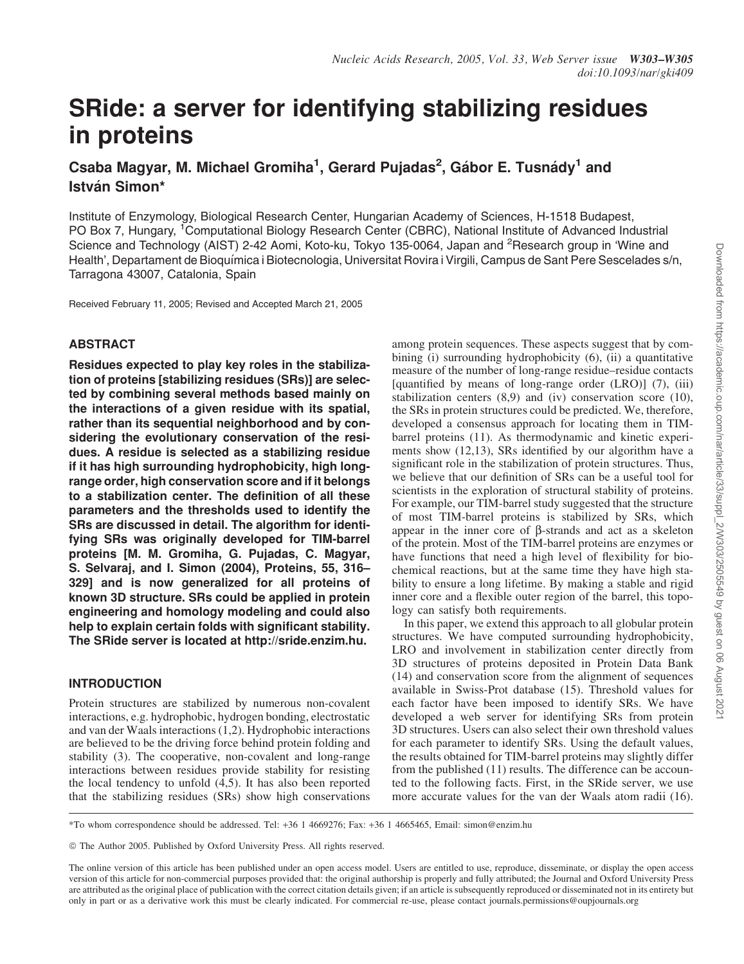# SRide: a server for identifying stabilizing residues in proteins

Csaba Magyar, M. Michael Gromiha<sup>1</sup>, Gerard Pujadas<sup>2</sup>, Gábor E. Tusnády<sup>1</sup> and István Simon\*

Institute of Enzymology, Biological Research Center, Hungarian Academy of Sciences, H-1518 Budapest, PO Box 7, Hungary, <sup>1</sup>Computational Biology Research Center (CBRC), National Institute of Advanced Industrial Science and Technology (AIST) 2-42 Aomi, Koto-ku, Tokyo 135-0064, Japan and <sup>2</sup>Research group in 'Wine and Health', Departament de Bioquı´mica i Biotecnologia, Universitat Rovira i Virgili, Campus de Sant Pere Sescelades s/n, Tarragona 43007, Catalonia, Spain

Received February 11, 2005; Revised and Accepted March 21, 2005

# ABSTRACT

Residues expected to play key roles in the stabilization of proteins [stabilizing residues (SRs)] are selected by combining several methods based mainly on the interactions of a given residue with its spatial, rather than its sequential neighborhood and by considering the evolutionary conservation of the residues. A residue is selected as a stabilizing residue if it has high surrounding hydrophobicity, high longrange order, high conservation score and if it belongs to a stabilization center. The definition of all these parameters and the thresholds used to identify the SRs are discussed in detail. The algorithm for identifying SRs was originally developed for TIM-barrel proteins [M. M. Gromiha, G. Pujadas, C. Magyar, S. Selvaraj, and I. Simon (2004), Proteins, 55, 316– 329] and is now generalized for all proteins of known 3D structure. SRs could be applied in protein engineering and homology modeling and could also help to explain certain folds with significant stability. The SRide server is located at http://sride.enzim.hu.

## INTRODUCTION

Protein structures are stabilized by numerous non-covalent interactions, e.g. hydrophobic, hydrogen bonding, electrostatic and van der Waals interactions (1,2). Hydrophobic interactions are believed to be the driving force behind protein folding and stability (3). The cooperative, non-covalent and long-range interactions between residues provide stability for resisting the local tendency to unfold (4,5). It has also been reported that the stabilizing residues (SRs) show high conservations

among protein sequences. These aspects suggest that by combining (i) surrounding hydrophobicity (6), (ii) a quantitative measure of the number of long-range residue–residue contacts [quantified by means of long-range order (LRO)] (7), (iii) stabilization centers (8,9) and (iv) conservation score (10), the SRs in protein structures could be predicted. We, therefore, developed a consensus approach for locating them in TIMbarrel proteins (11). As thermodynamic and kinetic experiments show (12,13), SRs identified by our algorithm have a significant role in the stabilization of protein structures. Thus, we believe that our definition of SRs can be a useful tool for scientists in the exploration of structural stability of proteins. For example, our TIM-barrel study suggested that the structure of most TIM-barrel proteins is stabilized by SRs, which appear in the inner core of  $\beta$ -strands and act as a skeleton of the protein. Most of the TIM-barrel proteins are enzymes or have functions that need a high level of flexibility for biochemical reactions, but at the same time they have high stability to ensure a long lifetime. By making a stable and rigid inner core and a flexible outer region of the barrel, this topology can satisfy both requirements.

In this paper, we extend this approach to all globular protein structures. We have computed surrounding hydrophobicity, LRO and involvement in stabilization center directly from 3D structures of proteins deposited in Protein Data Bank (14) and conservation score from the alignment of sequences available in Swiss-Prot database (15). Threshold values for each factor have been imposed to identify SRs. We have developed a web server for identifying SRs from protein 3D structures. Users can also select their own threshold values for each parameter to identify SRs. Using the default values, the results obtained for TIM-barrel proteins may slightly differ from the published (11) results. The difference can be accounted to the following facts. First, in the SRide server, we use more accurate values for the van der Waals atom radii (16).

\*To whom correspondence should be addressed. Tel: +36 1 4669276; Fax: +36 1 4665465, Email: simon@enzim.hu

The online version of this article has been published under an open access model. Users are entitled to use, reproduce, disseminate, or display the open access version of this article for non-commercial purposes provided that: the original authorship is properly and fully attributed; the Journal and Oxford University Press are attributed as the original place of publication with the correct citation details given; if an article is subsequently reproduced or disseminated not in its entirety but only in part or as a derivative work this must be clearly indicated. For commercial re-use, please contact journals.permissions@oupjournals.org

<sup>©</sup> The Author 2005. Published by Oxford University Press. All rights reserved.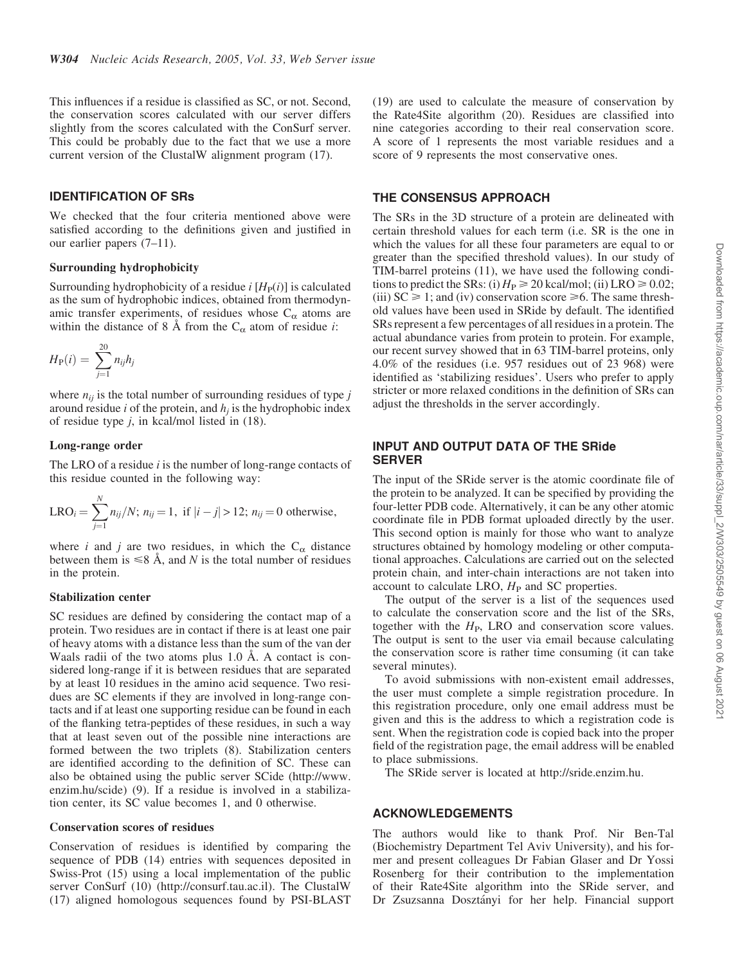This influences if a residue is classified as SC, or not. Second, the conservation scores calculated with our server differs slightly from the scores calculated with the ConSurf server. This could be probably due to the fact that we use a more current version of the ClustalW alignment program (17).

### IDENTIFICATION OF SRs

We checked that the four criteria mentioned above were satisfied according to the definitions given and justified in our earlier papers (7–11).

#### Surrounding hydrophobicity

Surrounding hydrophobicity of a residue  $i$  [ $H<sub>P</sub>(i)$ ] is calculated as the sum of hydrophobic indices, obtained from thermodynamic transfer experiments, of residues whose  $C_{\alpha}$  atoms are within the distance of 8 Å from the  $C_{\alpha}$  atom of residue *i*:

$$
H_{\rm P}(i) = \sum_{j=1}^{20} n_{ij} h_j
$$

where  $n_{ij}$  is the total number of surrounding residues of type  $j$ around residue *i* of the protein, and *h<sup>j</sup>* is the hydrophobic index of residue type *j*, in kcal/mol listed in (18).

#### Long-range order

The LRO of a residue *i* is the number of long-range contacts of this residue counted in the following way:

$$
LRO_i = \sum_{j=1}^{N} n_{ij}/N; n_{ij} = 1, \text{ if } |i - j| > 12; n_{ij} = 0 \text{ otherwise,}
$$

where *i* and *j* are two residues, in which the  $C_{\alpha}$  distance between them is  $\leq 8$  Å, and N is the total number of residues in the protein.

#### Stabilization center

SC residues are defined by considering the contact map of a protein. Two residues are in contact if there is at least one pair of heavy atoms with a distance less than the sum of the van der Waals radii of the two atoms plus  $1.0$  Å. A contact is considered long-range if it is between residues that are separated by at least 10 residues in the amino acid sequence. Two residues are SC elements if they are involved in long-range contacts and if at least one supporting residue can be found in each of the flanking tetra-peptides of these residues, in such a way that at least seven out of the possible nine interactions are formed between the two triplets (8). Stabilization centers are identified according to the definition of SC. These can also be obtained using the public server SCide (http://www. enzim.hu/scide) (9). If a residue is involved in a stabilization center, its SC value becomes 1, and 0 otherwise.

#### Conservation scores of residues

Conservation of residues is identified by comparing the sequence of PDB (14) entries with sequences deposited in Swiss-Prot (15) using a local implementation of the public server ConSurf (10) (http://consurf.tau.ac.il). The ClustalW (17) aligned homologous sequences found by PSI-BLAST (19) are used to calculate the measure of conservation by the Rate4Site algorithm (20). Residues are classified into nine categories according to their real conservation score. A score of 1 represents the most variable residues and a score of 9 represents the most conservative ones.

## THE CONSENSUS APPROACH

The SRs in the 3D structure of a protein are delineated with certain threshold values for each term (i.e. SR is the one in which the values for all these four parameters are equal to or greater than the specified threshold values). In our study of TIM-barrel proteins (11), we have used the following conditions to predict the SRs: (i)  $H_P \ge 20$  kcal/mol; (ii) LRO  $\ge 0.02$ ; (iii)  $SC \ge 1$ ; and (iv) conservation score  $\ge 6$ . The same threshold values have been used in SRide by default. The identified SRs represent a few percentages of all residues in a protein. The actual abundance varies from protein to protein. For example, our recent survey showed that in 63 TIM-barrel proteins, only 4.0% of the residues (i.e. 957 residues out of 23 968) were identified as 'stabilizing residues'. Users who prefer to apply stricter or more relaxed conditions in the definition of SRs can adjust the thresholds in the server accordingly.

## INPUT AND OUTPUT DATA OF THE SRide **SERVER**

The input of the SRide server is the atomic coordinate file of the protein to be analyzed. It can be specified by providing the four-letter PDB code. Alternatively, it can be any other atomic coordinate file in PDB format uploaded directly by the user. This second option is mainly for those who want to analyze structures obtained by homology modeling or other computational approaches. Calculations are carried out on the selected protein chain, and inter-chain interactions are not taken into account to calculate LRO,  $H<sub>P</sub>$  and SC properties.

The output of the server is a list of the sequences used to calculate the conservation score and the list of the SRs, together with the  $H<sub>P</sub>$ , LRO and conservation score values. The output is sent to the user via email because calculating the conservation score is rather time consuming (it can take several minutes).

To avoid submissions with non-existent email addresses, the user must complete a simple registration procedure. In this registration procedure, only one email address must be given and this is the address to which a registration code is sent. When the registration code is copied back into the proper field of the registration page, the email address will be enabled to place submissions.

The SRide server is located at http://sride.enzim.hu.

## ACKNOWLEDGEMENTS

The authors would like to thank Prof. Nir Ben-Tal (Biochemistry Department Tel Aviv University), and his former and present colleagues Dr Fabian Glaser and Dr Yossi Rosenberg for their contribution to the implementation of their Rate4Site algorithm into the SRide server, and Dr Zsuzsanna Dosztányi for her help. Financial support